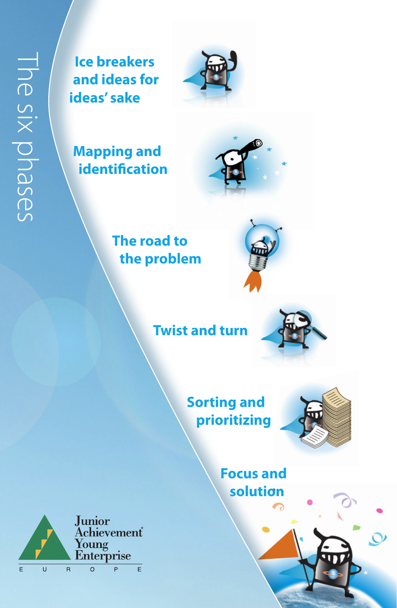# The six phases The six phases

**ice breakers and ideas for ideas' sake**



**mapping and identification** 



## **the road to the problem**



**twist and turn**



**sorting and prioritizing**



**focus and solution**

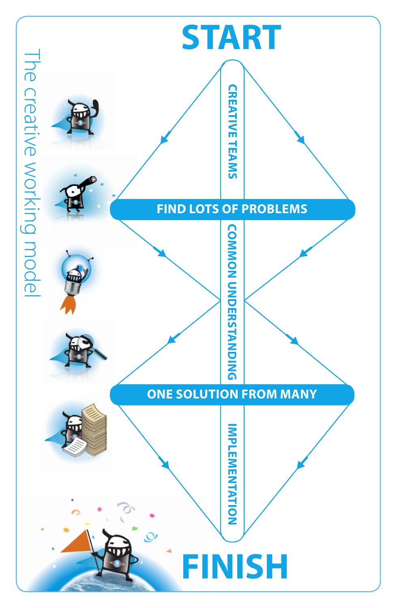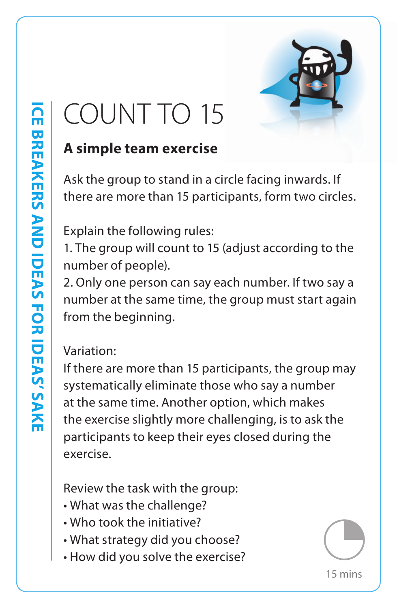

## COUNT TO 15

## **A simple team exercise**

Ask the group to stand in a circle facing inwards. If there are more than 15 participants, form two circles.

Explain the following rules:

1. The group will count to 15 (adjust according to the number of people).

2. Only one person can say each number. If two say a number at the same time, the group must start again from the beginning.

#### Variation:

If there are more than 15 participants, the group may systematically eliminate those who say a number at the same time. Another option, which makes the exercise slightly more challenging, is to ask the participants to keep their eyes closed during the exercise.

Review the task with the group:

- What was the challenge?
- Who took the initiative?
- What strategy did you choose?
- How did you solve the exercise?

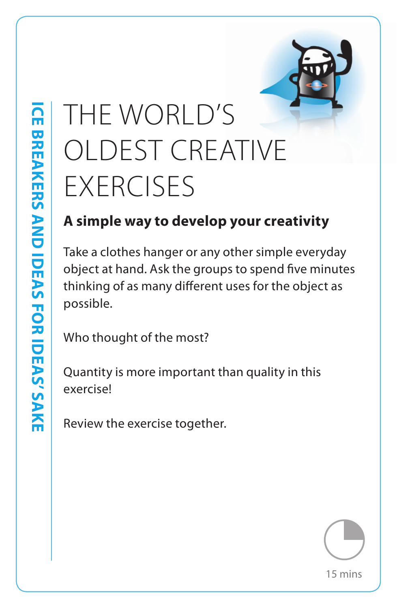## THE WORLD'S OLDEST CREATIVE **EXERCISES**

## **A simple way to develop your creativity**

Take a clothes hanger or any other simple everyday object at hand. Ask the groups to spend five minutes thinking of as many different uses for the object as possible.

Who thought of the most?

**Ice breakers and ideas for ideas' sake**

**ICE BREAKERS AND IDEAS FOR IDEAS' SAKE** 

Quantity is more important than quality in this exercise!

Review the exercise together.

15 mins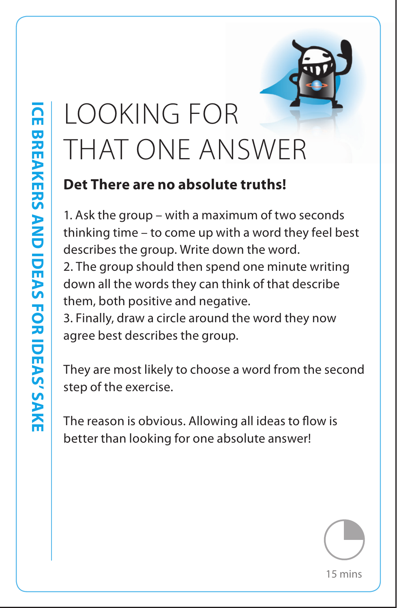## LOOKING FOR THAT ONE ANSWER

#### **Det There are no absolute truths!**

1. Ask the group – with a maximum of two seconds thinking time – to come up with a word they feel best describes the group. Write down the word. 2. The group should then spend one minute writing down all the words they can think of that describe them, both positive and negative.

3. Finally, draw a circle around the word they now agree best describes the group.

They are most likely to choose a word from the second step of the exercise.

The reason is obvious. Allowing all ideas to flow is better than looking for one absolute answer!

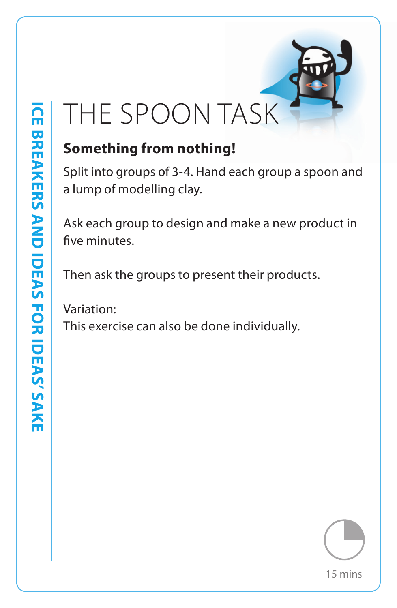

## **Something from nothing!**

Split into groups of 3-4. Hand each group a spoon and a lump of modelling clay.

Ask each group to design and make a new product in five minutes.

Then ask the groups to present their products.

Variation:

This exercise can also be done individually.

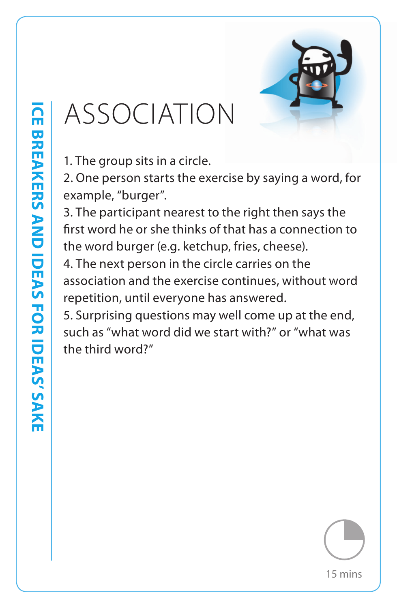

## ASSOCIATION

1. The group sits in a circle.

2. One person starts the exercise by saying a word, for example, "burger".

3. The participant nearest to the right then says the first word he or she thinks of that has a connection to the word burger (e.g. ketchup, fries, cheese).

4. The next person in the circle carries on the association and the exercise continues, without word repetition, until everyone has answered.

5. Surprising questions may well come up at the end, such as "what word did we start with?" or "what was the third word?"

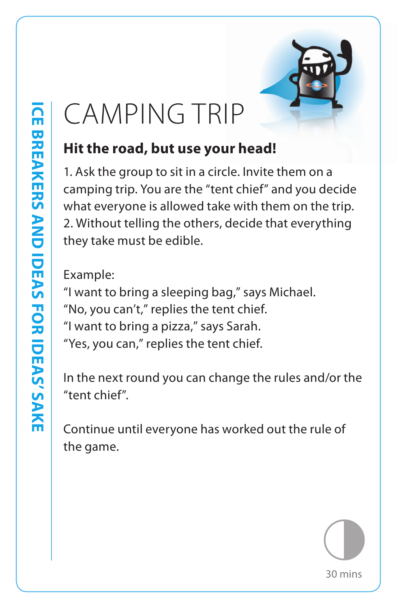

## CAMPING TRIP

#### **Hit the road, but use your head!**

1. Ask the group to sit in a circle. Invite them on a camping trip. You are the "tent chief" and you decide what everyone is allowed take with them on the trip. 2. Without telling the others, decide that everything they take must be edible.

Example:

"I want to bring a sleeping bag," says Michael. "No, you can't," replies the tent chief. "I want to bring a pizza," says Sarah. "Yes, you can," replies the tent chief.

In the next round you can change the rules and/or the "tent chief".

Continue until everyone has worked out the rule of the game.

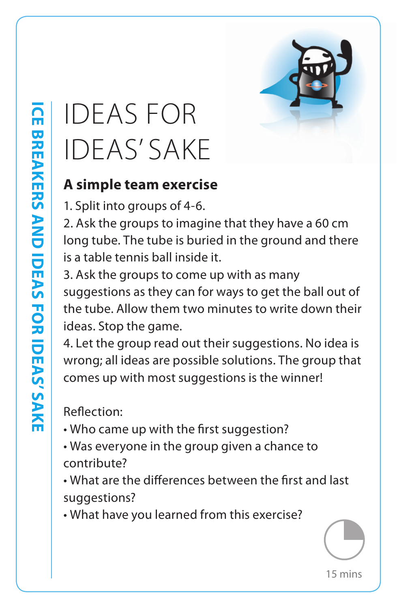

## IDEAS FOR IDEAS' SAKE

#### **A simple team exercise**

1. Split into groups of 4-6.

2. Ask the groups to imagine that they have a 60 cm long tube. The tube is buried in the ground and there is a table tennis ball inside it.

3. Ask the groups to come up with as many suggestions as they can for ways to get the ball out of the tube. Allow them two minutes to write down their ideas. Stop the game.

4. Let the group read out their suggestions. No idea is wrong; all ideas are possible solutions. The group that comes up with most suggestions is the winner!

Reflection:

- Who came up with the first suggestion?
- Was everyone in the group given a chance to contribute?
- What are the differences between the first and last suggestions?
- What have you learned from this exercise?

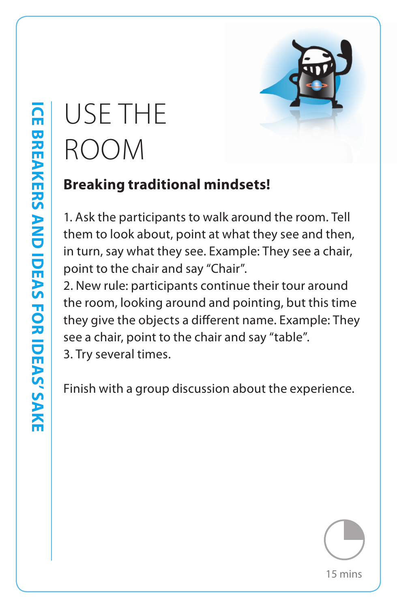## USE THE ROOM

## **Breaking traditional mindsets!**

1. Ask the participants to walk around the room. Tell them to look about, point at what they see and then, in turn, say what they see. Example: They see a chair, point to the chair and say "Chair".

2. New rule: participants continue their tour around the room, looking around and pointing, but this time they give the objects a different name. Example: They see a chair, point to the chair and say "table". 3. Try several times.

Finish with a group discussion about the experience.

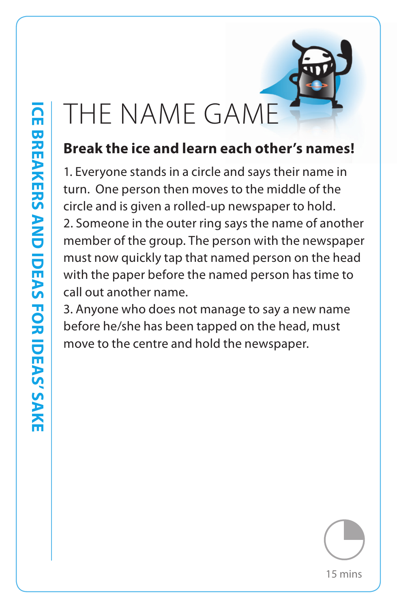## THE NAME GAME

## **Break the ice and learn each other's names!**

1. Everyone stands in a circle and says their name in turn. One person then moves to the middle of the circle and is given a rolled-up newspaper to hold. 2. Someone in the outer ring says the name of another member of the group. The person with the newspaper must now quickly tap that named person on the head with the paper before the named person has time to call out another name.

3. Anyone who does not manage to say a new name before he/she has been tapped on the head, must move to the centre and hold the newspaper.

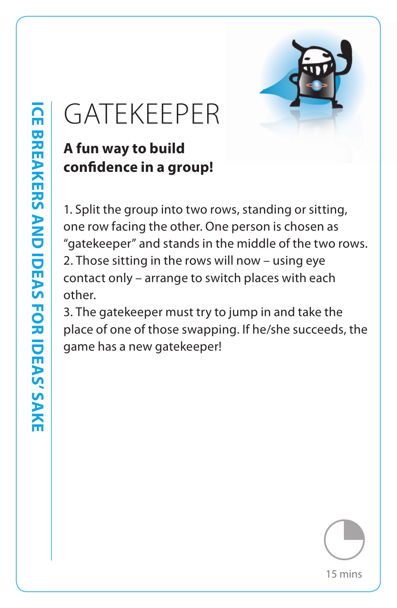

## GATEKEEPER

## **A fun way to build confidence in a group!**

1. Split the group into two rows, standing or sitting, one row facing the other. One person is chosen as "gatekeeper" and stands in the middle of the two rows. 2. Those sitting in the rows will now – using eye contact only – arrange to switch places with each other.

3. The gatekeeper must try to jump in and take the place of one of those swapping. If he/she succeeds, the game has a new gatekeeper!

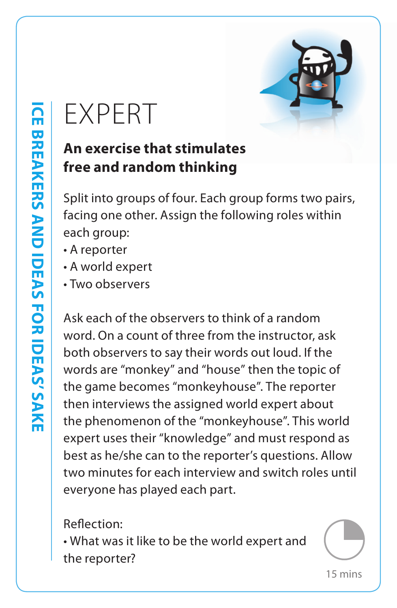## EXPERT

#### **An exercise that stimulates free and random thinking**

Split into groups of four. Each group forms two pairs, facing one other. Assign the following roles within each group:

- A reporter
- A world expert
- Two observers

Ask each of the observers to think of a random word. On a count of three from the instructor, ask both observers to say their words out loud. If the words are "monkey" and "house" then the topic of the game becomes "monkeyhouse". The reporter then interviews the assigned world expert about the phenomenon of the "monkeyhouse". This world expert uses their "knowledge" and must respond as best as he/she can to the reporter's questions. Allow two minutes for each interview and switch roles until everyone has played each part.

Reflection:

• What was it like to be the world expert and the reporter?

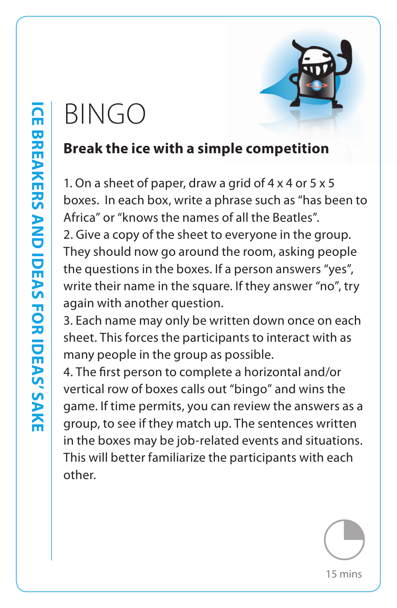## Bingo

#### **Break the ice with a simple competition**

1. On a sheet of paper, draw a grid of 4 x 4 or 5 x 5 boxes. In each box, write a phrase such as "has been to Africa" or "knows the names of all the Beatles".

2. Give a copy of the sheet to everyone in the group. They should now go around the room, asking people the questions in the boxes. If a person answers "yes", write their name in the square. If they answer "no", try again with another question.

3. Each name may only be written down once on each sheet. This forces the participants to interact with as many people in the group as possible.

4. The first person to complete a horizontal and/or vertical row of boxes calls out "bingo" and wins the game. If time permits, you can review the answers as a group, to see if they match up. The sentences written in the boxes may be job-related events and situations. This will better familiarize the participants with each other.



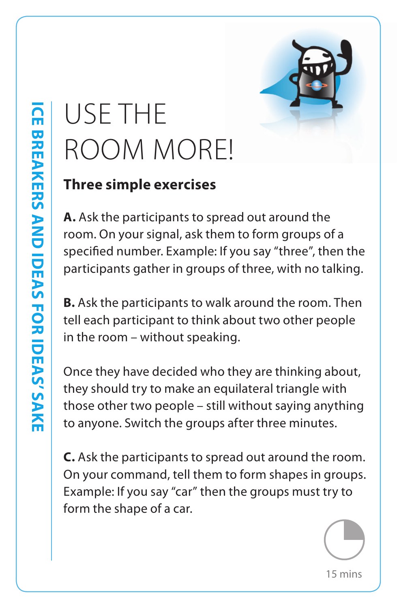## USE THE ROOM MORE!

#### **Three simple exercises**

**A.** Ask the participants to spread out around the room. On your signal, ask them to form groups of a specified number. Example: If you say "three", then the participants gather in groups of three, with no talking.

**B.** Ask the participants to walk around the room. Then tell each participant to think about two other people in the room – without speaking.

Once they have decided who they are thinking about, they should try to make an equilateral triangle with those other two people – still without saying anything to anyone. Switch the groups after three minutes.

**C.** Ask the participants to spread out around the room. On your command, tell them to form shapes in groups. Example: If you say "car" then the groups must try to form the shape of a car.

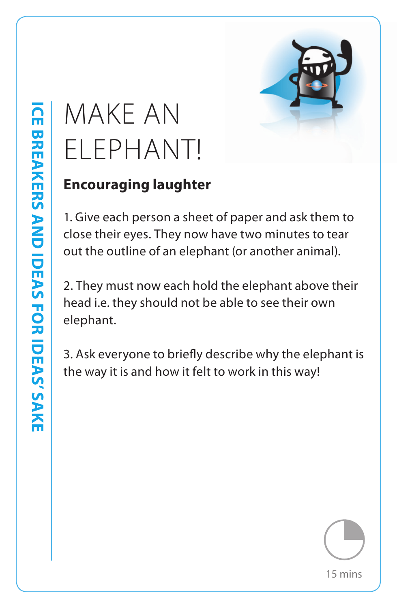## MAKE AN ELEPHANT!

## **Encouraging laughter**

1. Give each person a sheet of paper and ask them to close their eyes. They now have two minutes to tear out the outline of an elephant (or another animal).

2. They must now each hold the elephant above their head i.e. they should not be able to see their own elephant.

3. Ask everyone to briefly describe why the elephant is the way it is and how it felt to work in this way!



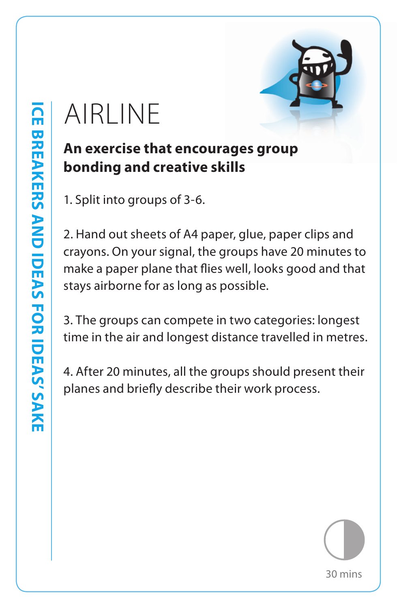## AIRLINE

#### **An exercise that encourages group bonding and creative skills**

1. Split into groups of 3-6.

2. Hand out sheets of A4 paper, glue, paper clips and crayons. On your signal, the groups have 20 minutes to make a paper plane that flies well, looks good and that stays airborne for as long as possible.

3. The groups can compete in two categories: longest time in the air and longest distance travelled in metres.

4. After 20 minutes, all the groups should present their planes and briefly describe their work process.

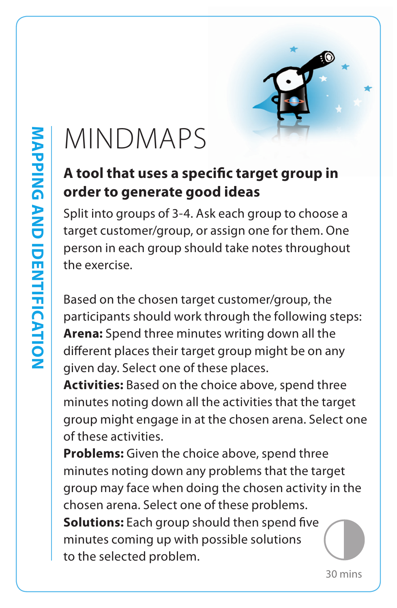

## MINDMAPS

#### **A tool that uses a specific target group in order to generate good ideas**

Split into groups of 3-4. Ask each group to choose a target customer/group, or assign one for them. One person in each group should take notes throughout the exercise.

Based on the chosen target customer/group, the participants should work through the following steps: **Arena:** Spend three minutes writing down all the different places their target group might be on any given day. Select one of these places.

**Activities:** Based on the choice above, spend three minutes noting down all the activities that the target group might engage in at the chosen arena. Select one of these activities.

**Problems:** Given the choice above, spend three minutes noting down any problems that the target group may face when doing the chosen activity in the chosen arena. Select one of these problems. **Solutions:** Each group should then spend five minutes coming up with possible solutions to the selected problem.

30 mins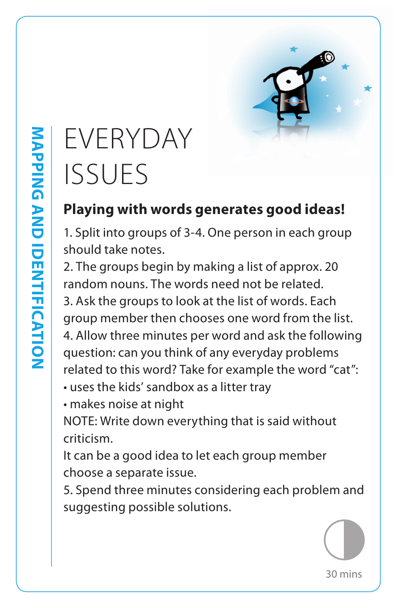

## EVERYDAY ISSUES **Playing with words generates good ideas!**

1. Split into groups of 3-4. One person in each group should take notes.

2. The groups begin by making a list of approx. 20 random nouns. The words need not be related.

3. Ask the groups to look at the list of words. Each group member then chooses one word from the list.

4. Allow three minutes per word and ask the following question: can you think of any everyday problems related to this word? Take for example the word "cat":

- uses the kids' sandbox as a litter tray
- makes noise at night

NOTE: Write down everything that is said without criticism.

It can be a good idea to let each group member choose a separate issue.

5. Spend three minutes considering each problem and suggesting possible solutions.

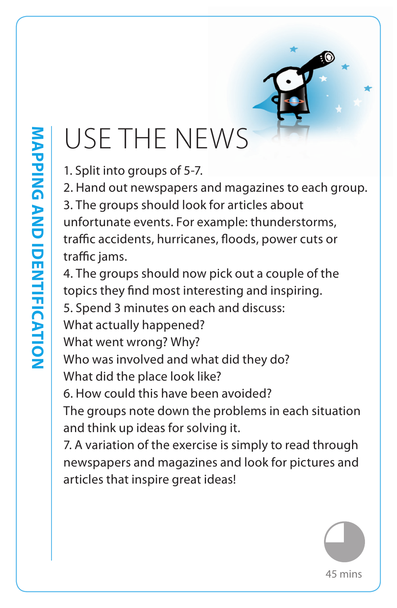## USE THE NEWS

1. Split into groups of 5-7.

2. Hand out newspapers and magazines to each group.

3. The groups should look for articles about unfortunate events. For example: thunderstorms, traffic accidents, hurricanes, floods, power cuts or traffic jams.

4. The groups should now pick out a couple of the topics they find most interesting and inspiring.

5. Spend 3 minutes on each and discuss:

What actually happened?

What went wrong? Why?

Who was involved and what did they do? What did the place look like?

6. How could this have been avoided?

The groups note down the problems in each situation and think up ideas for solving it.

7. A variation of the exercise is simply to read through newspapers and magazines and look for pictures and articles that inspire great ideas!

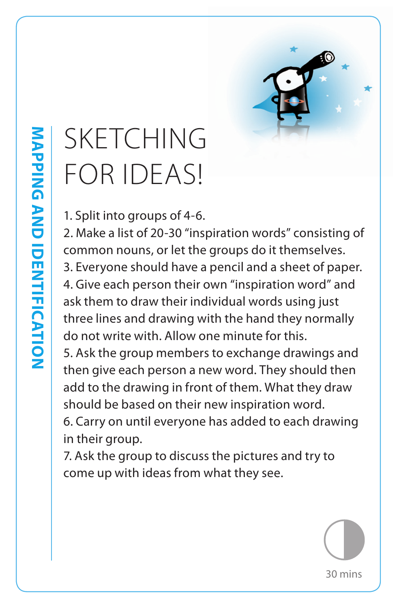

## SKETCHING FOR IDEAS!

1. Split into groups of 4-6.

2. Make a list of 20-30 "inspiration words" consisting of common nouns, or let the groups do it themselves. 3. Everyone should have a pencil and a sheet of paper. 4. Give each person their own "inspiration word" and ask them to draw their individual words using just three lines and drawing with the hand they normally do not write with. Allow one minute for this.

5. Ask the group members to exchange drawings and then give each person a new word. They should then add to the drawing in front of them. What they draw should be based on their new inspiration word.

6. Carry on until everyone has added to each drawing in their group.

7. Ask the group to discuss the pictures and try to come up with ideas from what they see.

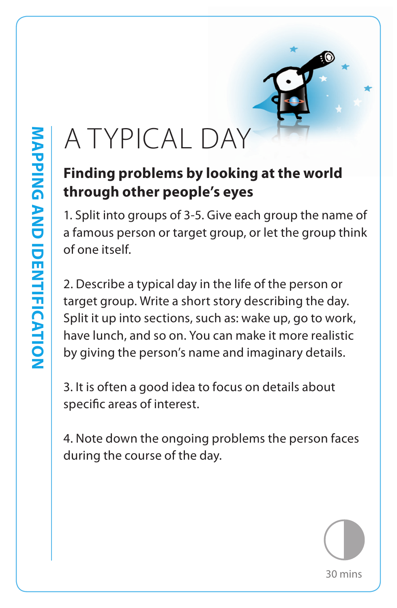## A TYPICAL DAY

### **Finding problems by looking at the world through other people's eyes**

1. Split into groups of 3-5. Give each group the name of a famous person or target group, or let the group think of one itself.

2. Describe a typical day in the life of the person or target group. Write a short story describing the day. Split it up into sections, such as: wake up, go to work, have lunch, and so on. You can make it more realistic by giving the person's name and imaginary details.

3. It is often a good idea to focus on details about specific areas of interest.

4. Note down the ongoing problems the person faces during the course of the day.

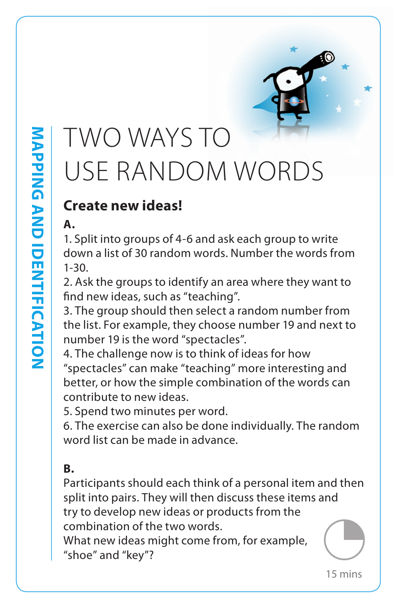## TWO WAYS TO USE RANDOM WORDS

#### **Create new ideas!**

#### **A.**

1. Split into groups of 4-6 and ask each group to write down a list of 30 random words. Number the words from 1-30.

2. Ask the groups to identify an area where they want to find new ideas, such as "teaching".

3. The group should then select a random number from the list. For example, they choose number 19 and next to number 19 is the word "spectacles".

4. The challenge now is to think of ideas for how "spectacles" can make "teaching" more interesting and better, or how the simple combination of the words can contribute to new ideas.

5. Spend two minutes per word.

6. The exercise can also be done individually. The random word list can be made in advance.

#### **B.**

Participants should each think of a personal item and then split into pairs. They will then discuss these items and try to develop new ideas or products from the combination of the two words.

What new ideas might come from, for example, "shoe" and "key"?

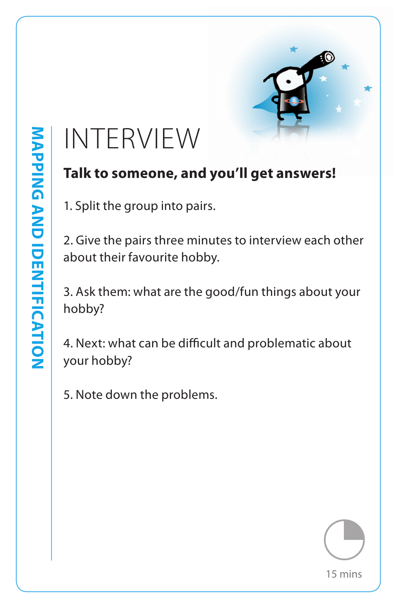

## INTERVIEW

#### **Talk to someone, and you'll get answers!**

1. Split the group into pairs.

2. Give the pairs three minutes to interview each other about their favourite hobby.

3. Ask them: what are the good/fun things about your hobby?

4. Next: what can be difficult and problematic about your hobby?

5. Note down the problems.

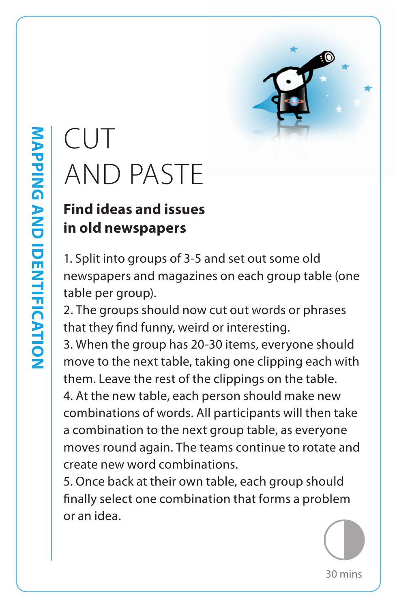

## CUT AND PASTE

## **Find ideas and issues in old newspapers**

1. Split into groups of 3-5 and set out some old newspapers and magazines on each group table (one table per group).

2. The groups should now cut out words or phrases that they find funny, weird or interesting.

3. When the group has 20-30 items, everyone should move to the next table, taking one clipping each with them. Leave the rest of the clippings on the table.

4. At the new table, each person should make new combinations of words. All participants will then take a combination to the next group table, as everyone moves round again. The teams continue to rotate and create new word combinations.

5. Once back at their own table, each group should finally select one combination that forms a problem or an idea.

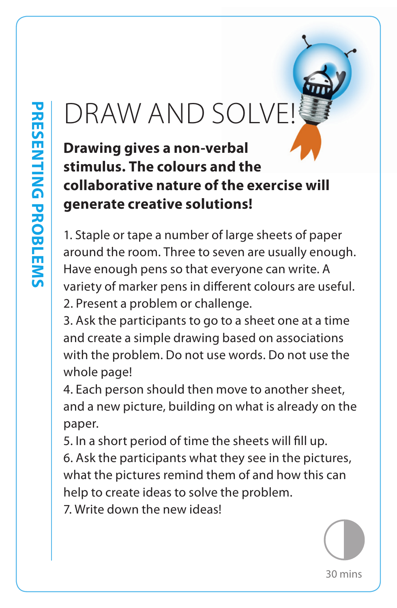## DRAW AND SOLVE!

**Drawing gives a non-verbal stimulus. The colours and the collaborative nature of the exercise will generate creative solutions!**

1. Staple or tape a number of large sheets of paper around the room. Three to seven are usually enough. Have enough pens so that everyone can write. A variety of marker pens in different colours are useful. 2. Present a problem or challenge.

3. Ask the participants to go to a sheet one at a time and create a simple drawing based on associations with the problem. Do not use words. Do not use the whole page!

4. Each person should then move to another sheet, and a new picture, building on what is already on the paper.

5. In a short period of time the sheets will fill up.

6. Ask the participants what they see in the pictures, what the pictures remind them of and how this can help to create ideas to solve the problem.

7. Write down the new ideas!

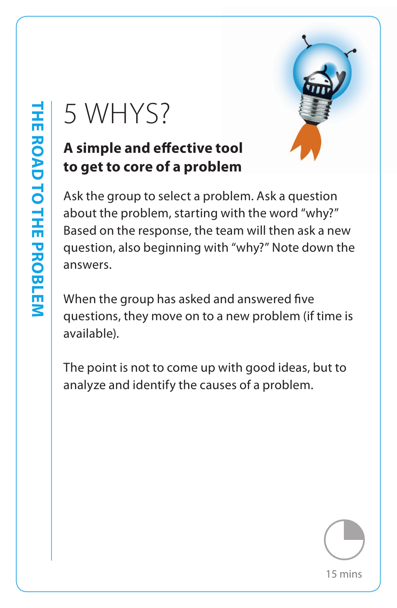#### **A simple and effective tool to get to core of a problem**



 $5 WHYS?$ <br>
A simple and effective tool<br>
to get to core of a problem<br>
Ask the group to select a problem. Ask a question<br>
about the problem, starting with the word "why?"<br>
Based on the response, the team will then ask a neque Ask the group to select a problem. Ask a question about the problem, starting with the word "why?" Based on the response, the team will then ask a new question, also beginning with "why?" Note down the answers.

When the group has asked and answered five questions, they move on to a new problem (if time is available).

The point is not to come up with good ideas, but to analyze and identify the causes of a problem.

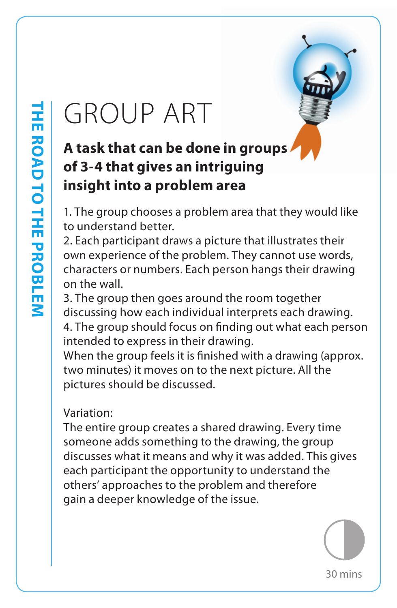## GROUP ART

### **A task that can be done in groups of 3-4 that gives an intriguing insight into a problem area**

1. The group chooses a problem area that they would like to understand better.

2. Each participant draws a picture that illustrates their own experience of the problem. They cannot use words, characters or numbers. Each person hangs their drawing on the wall.

3. The group then goes around the room together discussing how each individual interprets each drawing.

4. The group should focus on finding out what each person intended to express in their drawing.

When the group feels it is finished with a drawing (approx. two minutes) it moves on to the next picture. All the pictures should be discussed.

#### Variation:

The entire group creates a shared drawing. Every time someone adds something to the drawing, the group discusses what it means and why it was added. This gives each participant the opportunity to understand the others' approaches to the problem and therefore gain a deeper knowledge of the issue.

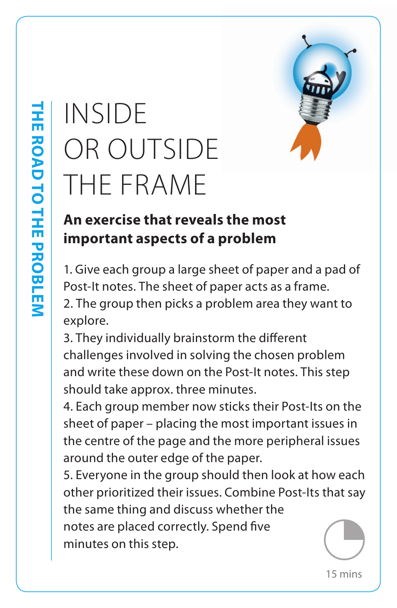## OR OUTSIDE THE FRAME



#### **An exercise that reveals the most important aspects of a problem**

1. Give each group a large sheet of paper and a pad of Post-It notes. The sheet of paper acts as a frame. 2. The group then picks a problem area they want to explore.

3. They individually brainstorm the different challenges involved in solving the chosen problem and write these down on the Post-It notes. This step should take approx. three minutes.

4. Each group member now sticks their Post-Its on the sheet of paper – placing the most important issues in the centre of the page and the more peripheral issues around the outer edge of the paper.

INSIDE<br>
OR OUTSIDE<br>
THE FRAME<br> **An exercise that reveals the most**<br> **An exercise that reveals the most**<br> **An exercise that reveals the most**<br>
1. Give each group a large sheet of paper and a pa<br>
Post-It notes. The sheet of 5. Everyone in the group should then look at how each other prioritized their issues. Combine Post-Its that say the same thing and discuss whether the notes are placed correctly. Spend five minutes on this step.

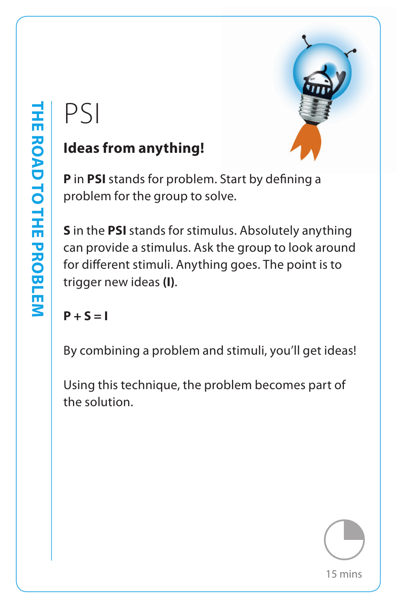

#### **Ideas from anything!**

**P** in **PSI** stands for problem. Start by defining a problem for the group to solve.

PS|<br>
Ideas from anything!<br>
Pin PSI stands for problem. Start by defining a<br>
problem for the group to solve.<br>
Sin the PSI stands for stimulus. Absolutely anythican<br>
provide a stimulus. Ask the group to look arou<br>
for differ **S** in the **PSI** stands for stimulus. Absolutely anything can provide a stimulus. Ask the group to look around for different stimuli. Anything goes. The point is to trigger new ideas **(I)**.

 $P + S = I$ 

By combining a problem and stimuli, you'll get ideas!

Using this technique, the problem becomes part of the solution.

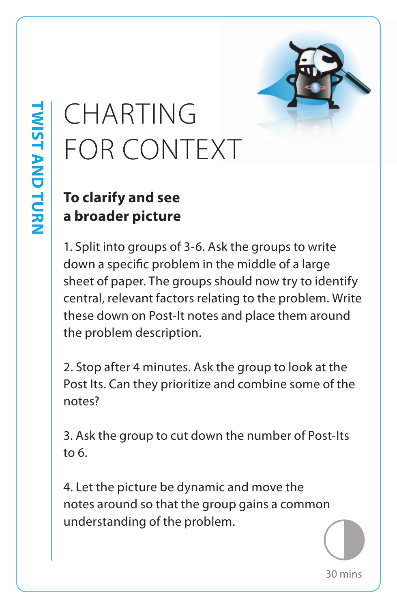## CHARTING FOR CONTEXT

### **To clarify and see a broader picture**

1. Split into groups of 3-6. Ask the groups to write down a specific problem in the middle of a large sheet of paper. The groups should now try to identify central, relevant factors relating to the problem. Write these down on Post-It notes and place them around the problem description.

2. Stop after 4 minutes. Ask the group to look at the Post Its. Can they prioritize and combine some of the notes?

3. Ask the group to cut down the number of Post-Its to 6.

4. Let the picture be dynamic and move the notes around so that the group gains a common understanding of the problem.

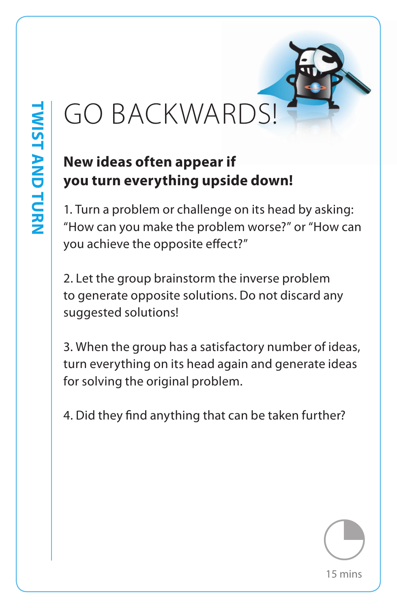## **New ideas often appear if you turn everything upside down!**

1. Turn a problem or challenge on its head by asking: "How can you make the problem worse?" or "How can you achieve the opposite effect?"

GO BACKWARDS!<br>
New ideas often appear if<br>
you turn everything upside down!<br>
1. Turn a problem or challenge on its head by askit<br>
"How can you make the problem worse?" or "How<br>
you achieve the opposite effect?"<br>
2. Let the 2. Let the group brainstorm the inverse problem to generate opposite solutions. Do not discard any suggested solutions!

3. When the group has a satisfactory number of ideas, turn everything on its head again and generate ideas for solving the original problem.

4. Did they find anything that can be taken further?

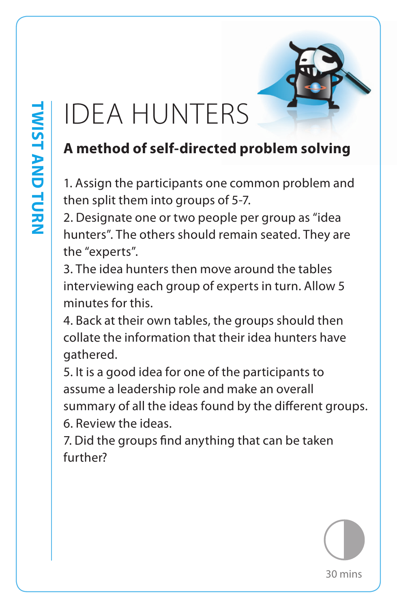## IDEA HUNTERS

## **A method of self-directed problem solving**

1. Assign the participants one common problem and then split them into groups of 5-7.

2. Designate one or two people per group as "idea hunters". The others should remain seated. They are the "experts".

3. The idea hunters then move around the tables interviewing each group of experts in turn. Allow 5 minutes for this.

4. Back at their own tables, the groups should then collate the information that their idea hunters have gathered.

5. It is a good idea for one of the participants to assume a leadership role and make an overall summary of all the ideas found by the different groups. 6. Review the ideas.

7. Did the groups find anything that can be taken further?

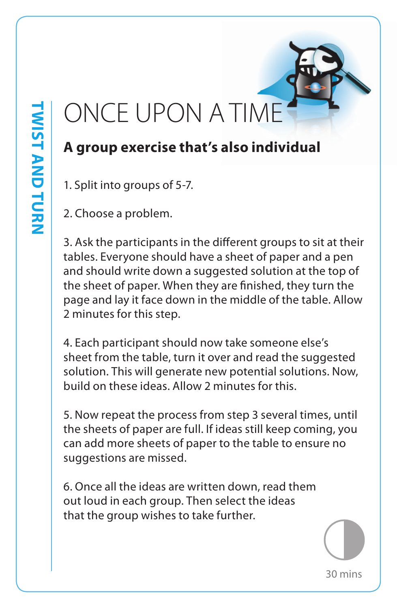## ONCE UPON A TIME

### **A group exercise that's also individual**

1. Split into groups of 5-7.

2. Choose a problem.

3. Ask the participants in the different groups to sit at their tables. Everyone should have a sheet of paper and a pen and should write down a suggested solution at the top of the sheet of paper. When they are finished, they turn the page and lay it face down in the middle of the table. Allow 2 minutes for this step.

4. Each participant should now take someone else's sheet from the table, turn it over and read the suggested solution. This will generate new potential solutions. Now, build on these ideas. Allow 2 minutes for this.

5. Now repeat the process from step 3 several times, until the sheets of paper are full. If ideas still keep coming, you can add more sheets of paper to the table to ensure no suggestions are missed.

6. Once all the ideas are written down, read them out loud in each group. Then select the ideas that the group wishes to take further.

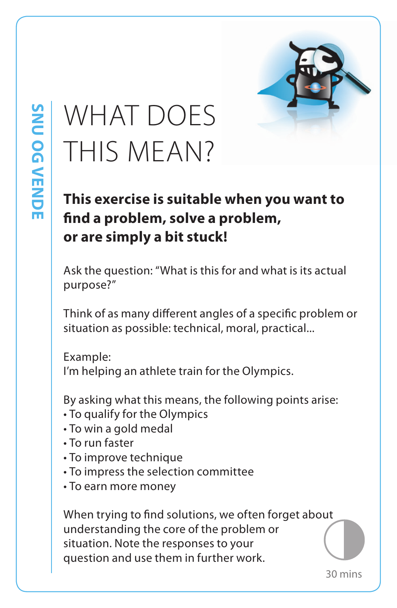## WHAT DOES THIS MEAN?

## **This exercise is suitable when you want to find a problem, solve a problem, or are simply a bit stuck!**

Ask the question: "What is this for and what is its actual purpose?"

Think of as many different angles of a specific problem or situation as possible: technical, moral, practical...

Example: I'm helping an athlete train for the Olympics.

By asking what this means, the following points arise:

- To qualify for the Olympics
- To win a gold medal
- To run faster
- To improve technique
- To impress the selection committee
- To earn more money

When trying to find solutions, we often forget about understanding the core of the problem or situation. Note the responses to your question and use them in further work.

30 mins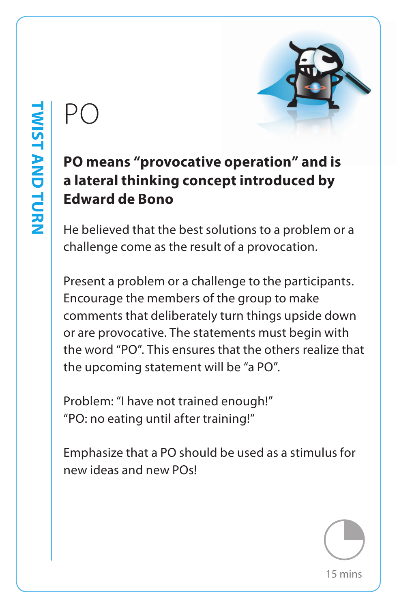

#### **PO means "provocative operation" and is a lateral thinking concept introduced by Edward de Bono**

He believed that the best solutions to a problem or a challenge come as the result of a provocation.

PO<br> **PO means "provocative operation" and is<br>
a lateral thinking concept introduced by<br>
Edward de Bono<br>
He believed that the best solutions to a problem c<br>
challenge come as the result of a provocation.<br>
Present a problem** Present a problem or a challenge to the participants. Encourage the members of the group to make comments that deliberately turn things upside down or are provocative. The statements must begin with the word "PO". This ensures that the others realize that the upcoming statement will be "a PO".

Problem: "I have not trained enough!" "PO: no eating until after training!"

Emphasize that a PO should be used as a stimulus for new ideas and new POs!

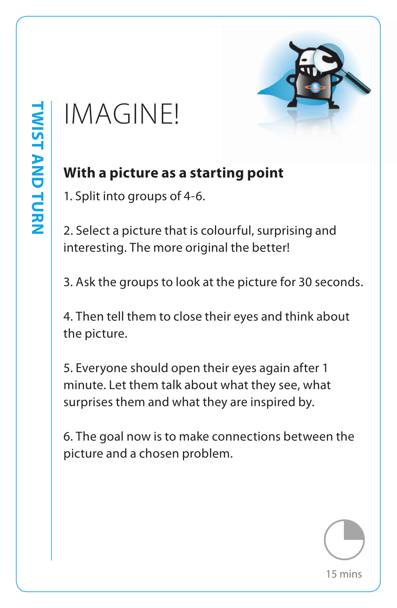

#### **With a picture as a starting point**

1. Split into groups of 4-6.

2. Select a picture that is colourful, surprising and interesting. The more original the better!

3. Ask the groups to look at the picture for 30 seconds.

4. Then tell them to close their eyes and think about the picture.

IMAGINE!<br>With a picture as a starting point<br>1. Split into groups of 4-6.<br>2. Select a picture that is colourful, surprising and<br>interesting. The more original the better!<br>3. Ask the groups to look at the picture for 30 seco 5. Everyone should open their eyes again after 1 minute. Let them talk about what they see, what surprises them and what they are inspired by.

6. The goal now is to make connections between the picture and a chosen problem.

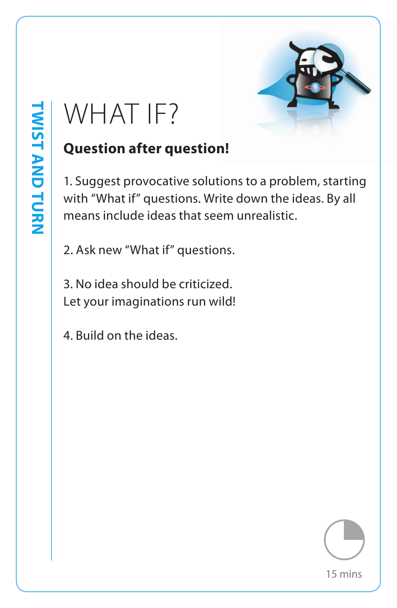

## **Question after question!**

WHAT IF?<br>
Question after question!<br>
1. Suggest provocative solutions to a problem, sta<br>
with "What if" questions. Write down the ideas. By<br>
means include ideas that seem unrealistic.<br>
2. Ask new "What if" questions.<br>
3. No 1. Suggest provocative solutions to a problem, starting with "What if" questions. Write down the ideas. By all means include ideas that seem unrealistic.

2. Ask new "What if" questions.

3. No idea should be criticized. Let your imaginations run wild!

4. Build on the ideas.

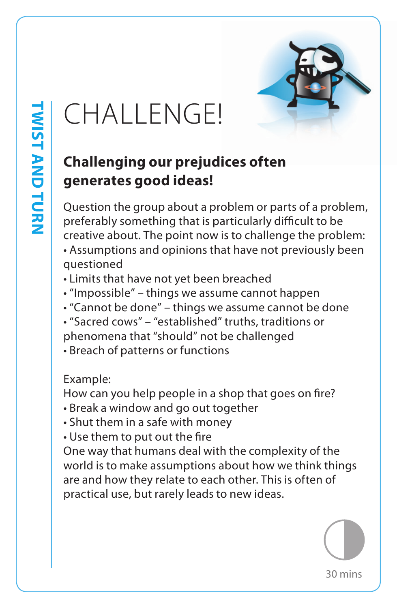

## CHALLENGE!

## **Challenging our prejudices often generates good ideas!**

Question the group about a problem or parts of a problem, preferably something that is particularly difficult to be creative about. The point now is to challenge the problem:

- Assumptions and opinions that have not previously been questioned
- Limits that have not yet been breached
- "Impossible" things we assume cannot happen
- "Cannot be done" things we assume cannot be done
- "Sacred cows" "established" truths, traditions or phenomena that "should" not be challenged
- Breach of patterns or functions

#### Example:

How can you help people in a shop that goes on fire?

- Break a window and go out together
- Shut them in a safe with money
- Use them to put out the fire

One way that humans deal with the complexity of the world is to make assumptions about how we think things are and how they relate to each other. This is often of practical use, but rarely leads to new ideas.

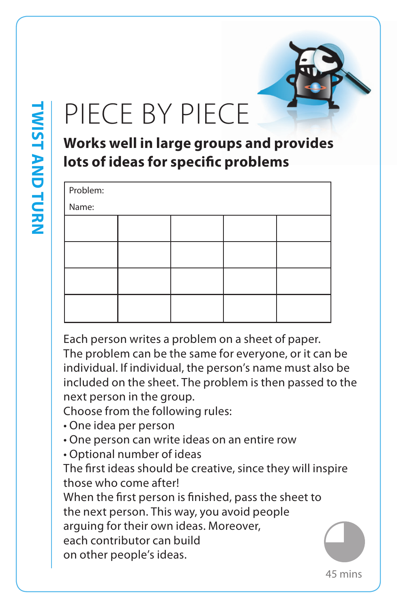## PIECE BY PIECE

**Works well in large groups and provides lots of ideas for specific problems**

| Problem: |  |  |  |  |  |  |
|----------|--|--|--|--|--|--|
| Name:    |  |  |  |  |  |  |
|          |  |  |  |  |  |  |
|          |  |  |  |  |  |  |
|          |  |  |  |  |  |  |
|          |  |  |  |  |  |  |
|          |  |  |  |  |  |  |
|          |  |  |  |  |  |  |
|          |  |  |  |  |  |  |
|          |  |  |  |  |  |  |

Each person writes a problem on a sheet of paper. The problem can be the same for everyone, or it can be individual. If individual, the person's name must also be included on the sheet. The problem is then passed to the next person in the group.

Choose from the following rules:

- One idea per person
- One person can write ideas on an entire row
- Optional number of ideas

The first ideas should be creative, since they will inspire those who come after!

When the first person is finished, pass the sheet to the next person. This way, you avoid people arguing for their own ideas. Moreover, each contributor can build on other people's ideas.

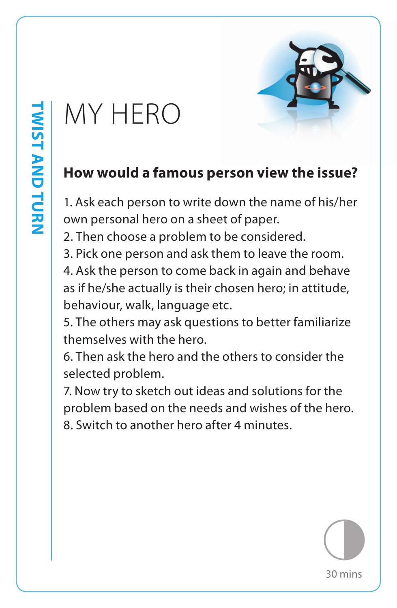## MY HERO



1. Ask each person to write down the name of his/her own personal hero on a sheet of paper.

2. Then choose a problem to be considered.

3. Pick one person and ask them to leave the room.

4. Ask the person to come back in again and behave as if he/she actually is their chosen hero; in attitude, behaviour, walk, language etc.

5. The others may ask questions to better familiarize themselves with the hero.

6. Then ask the hero and the others to consider the selected problem.

7. Now try to sketch out ideas and solutions for the problem based on the needs and wishes of the hero. 8. Switch to another hero after 4 minutes.

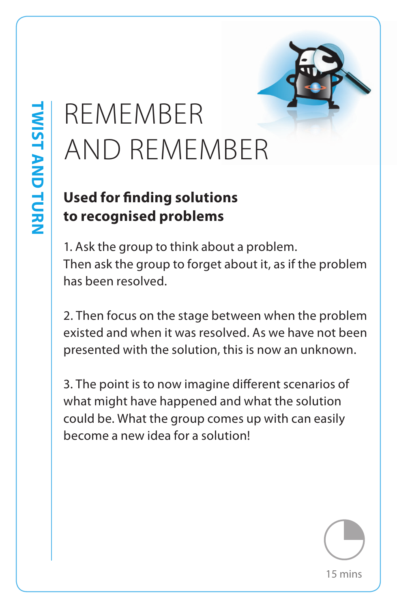# AND REMEMBER

#### **Used for finding solutions to recognised problems**

1. Ask the group to think about a problem. Then ask the group to forget about it, as if the problem has been resolved.

2. Then focus on the stage between when the problem existed and when it was resolved. As we have not been presented with the solution, this is now an unknown.

REMEMBER<br>
AND REMEMBER<br>
Used for finding solutions<br>
to recognised problems<br>
1. Ask the group to think about a problem.<br>
Then ask the group to forget about it, as if the pro<br>
has been resolved.<br>
2. Then focus on the stage b 3. The point is to now imagine different scenarios of what might have happened and what the solution could be. What the group comes up with can easily become a new idea for a solution!

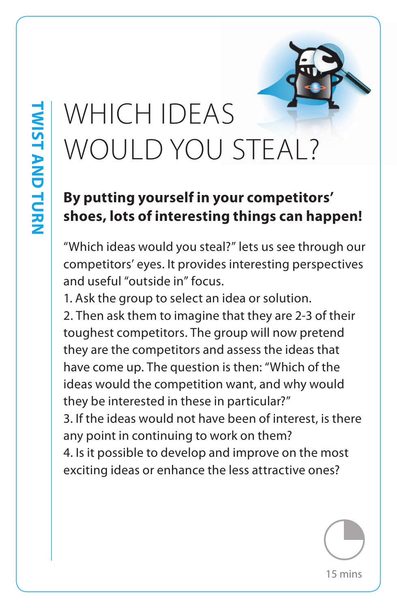# WOULD YOU STEAL?

#### **By putting yourself in your competitors' shoes, lots of interesting things can happen!**

"Which ideas would you steal?" lets us see through our competitors' eyes. It provides interesting perspectives and useful "outside in" focus.

1. Ask the group to select an idea or solution.

WHICH IDEAS<br>
WOULD YOU STEAL?<br> **By putting yourself in your competitors'**<br> **shoes, lots of interesting things can happ**<br>
"Which ideas would you steal?" lets us see through<br>
competitors' eyes. It provides interesting perspe 2. Then ask them to imagine that they are 2-3 of their toughest competitors. The group will now pretend they are the competitors and assess the ideas that have come up. The question is then: "Which of the ideas would the competition want, and why would they be interested in these in particular?"

3. If the ideas would not have been of interest, is there any point in continuing to work on them?

4. Is it possible to develop and improve on the most exciting ideas or enhance the less attractive ones?

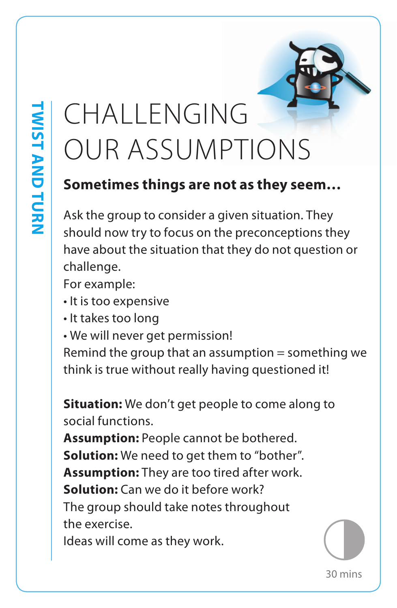## CHALLENGING OUR ASSUMPTIONS

#### **Sometimes things are not as they seem…**

Ask the group to consider a given situation. They should now try to focus on the preconceptions they have about the situation that they do not question or challenge.

For example:

- It is too expensive
- It takes too long
- We will never get permission!

Remind the group that an assumption  $=$  something we think is true without really having questioned it!

**Situation:** We don't get people to come along to social functions.

**Assumption:** People cannot be bothered. **Solution:** We need to get them to "bother". **Assumption:** They are too tired after work. **Solution:** Can we do it before work? The group should take notes throughout the exercise.

Ideas will come as they work.

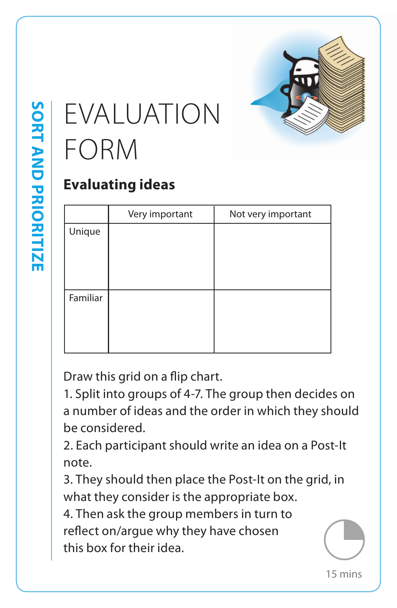

## EVALUATION FORM

### **Evaluating ideas**

|                | Very important                             | Not very important                                   |    |
|----------------|--------------------------------------------|------------------------------------------------------|----|
| Unique         |                                            |                                                      |    |
|                |                                            |                                                      |    |
|                |                                            |                                                      |    |
|                |                                            |                                                      |    |
| Familiar       |                                            |                                                      |    |
|                |                                            |                                                      |    |
|                |                                            |                                                      |    |
|                |                                            |                                                      |    |
|                |                                            |                                                      |    |
|                | Draw this grid on a flip chart.            |                                                      |    |
|                |                                            | 1. Split into groups of 4-7. The group then decides  |    |
|                |                                            | a number of ideas and the order in which they sho    |    |
| be considered. |                                            |                                                      |    |
|                |                                            | 2. Each participant should write an idea on a Post-  |    |
| note.          |                                            |                                                      |    |
|                |                                            | 3. They should then place the Post-It on the grid, i |    |
|                | what they consider is the appropriate box. |                                                      |    |
|                | 4. Then ask the group members in turn to   |                                                      |    |
|                |                                            |                                                      |    |
|                | reflect on/argue why they have chosen      |                                                      |    |
|                | this box for their idea.                   |                                                      |    |
|                |                                            |                                                      | 15 |

1. Split into groups of 4-7. The group then decides on a number of ideas and the order in which they should be considered.

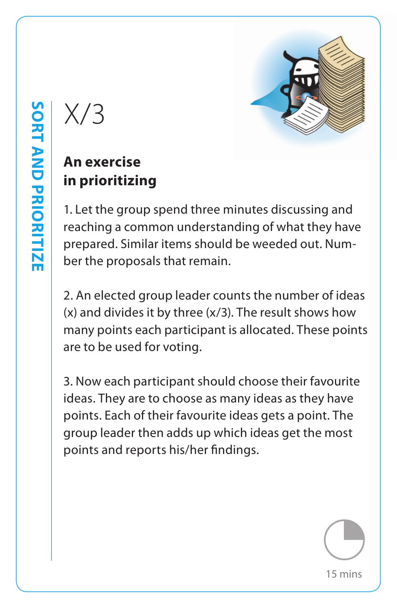## **An exercise in prioritizing**

1. Let the group spend three minutes discussing and reaching a common understanding of what they have prepared. Similar items should be weeded out. Number the proposals that remain.

2. An elected group leader counts the number of ideas (x) and divides it by three (x/3). The result shows how many points each participant is allocated. These points are to be used for voting.

X/3<br>
An exercise<br>
in prioritizing<br>
1. Let the group spend three minutes discussing a<br>
reaching a common understanding of what they b<br>
prepared. Similar items should be weeded out. Nu<br>
ber the proposals that remain.<br>
2. An 3. Now each participant should choose their favourite ideas. They are to choose as many ideas as they have points. Each of their favourite ideas gets a point. The group leader then adds up which ideas get the most points and reports his/her findings.

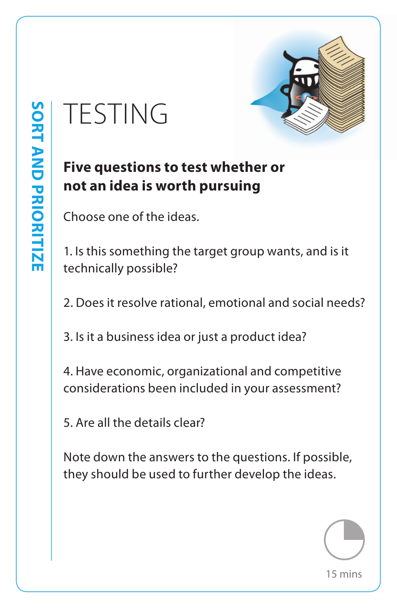

## **Five questions to test whether or not an idea is worth pursuing**

Choose one of the ideas.

1. Is this something the target group wants, and is it technically possible?

2. Does it resolve rational, emotional and social needs?

3. Is it a business idea or just a product idea?

4. Have economic, organizational and competitive considerations been included in your assessment?

5. Are all the details clear?

TESTING<br>
Five questions to test whether or<br>
not an idea is worth pursuing<br>
Choose one of the ideas.<br>
1. Is this something the target group wants, and is<br>
technically possible?<br>
2. Does it resolve rational, emotional and so Note down the answers to the questions. If possible, they should be used to further develop the ideas.

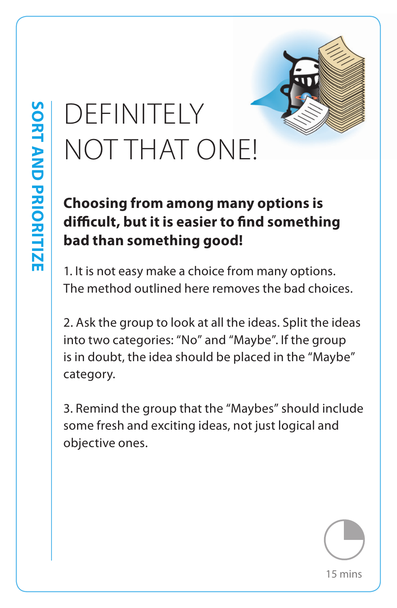# NOT THAT ONE!

## **Choosing from among many options is difficult, but it is easier to find something bad than something good!**

1. It is not easy make a choice from many options. The method outlined here removes the bad choices.

DEFINITELY<br>
NOT THAT ONE!<br> **Choosing from among many options is<br>
difficult, but it is easier to find something<br>
bad than something good!**<br>
1. It is not easy make a choice from many options.<br>
The method outlined here remove 2. Ask the group to look at all the ideas. Split the ideas into two categories: "No" and "Maybe". If the group is in doubt, the idea should be placed in the "Maybe" category.

3. Remind the group that the "Maybes" should include some fresh and exciting ideas, not just logical and objective ones.

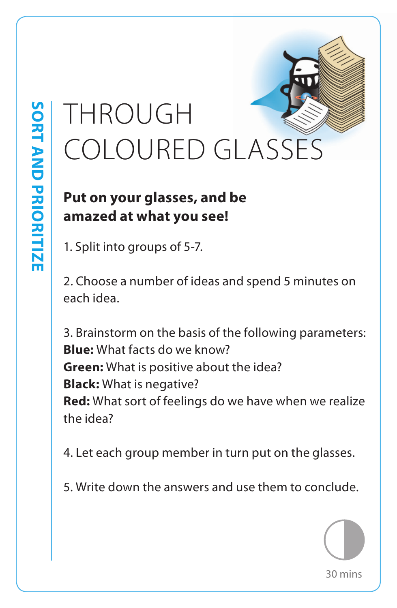## THROUGH COLOURED GLASSES

#### **Put on your glasses, and be amazed at what you see!**

1. Split into groups of 5-7.

2. Choose a number of ideas and spend 5 minutes on each idea.

3. Brainstorm on the basis of the following parameters: **Blue:** What facts do we know? **Green:** What is positive about the idea? **Black:** What is negative? **Red:** What sort of feelings do we have when we realize the idea?

4. Let each group member in turn put on the glasses.

5. Write down the answers and use them to conclude.

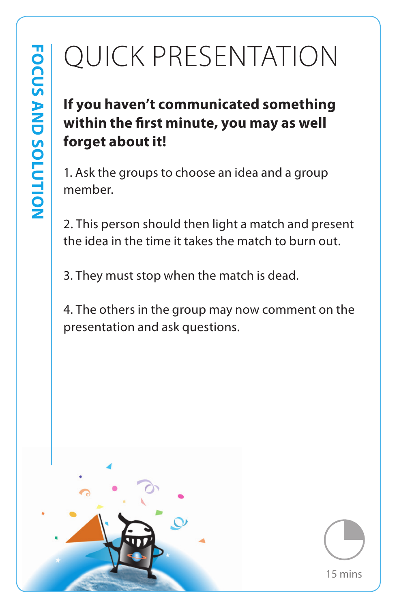## **If you haven't communicated something within the first minute, you may as well forget about it!**

1. Ask the groups to choose an idea and a group member.

2. This person should then light a match and present the idea in the time it takes the match to burn out.

3. They must stop when the match is dead.

4. The others in the group may now comment on the presentation and ask questions.



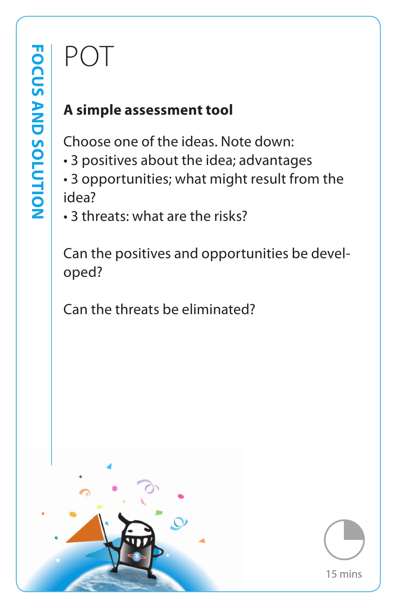### **A simple assessment tool**

Choose one of the ideas. Note down:

- 3 positives about the idea; advantages
- 3 opportunities; what might result from the idea?
- 3 threats: what are the risks?

Can the positives and opportunities be developed?

Can the threats be eliminated?



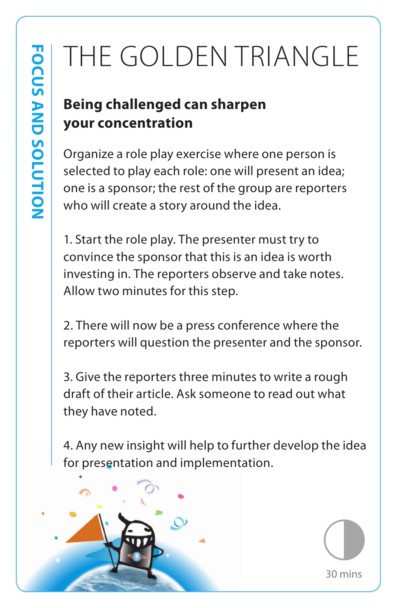## THE GOLDEN TRIANGLE

## **Being challenged can sharpen your concentration**

Organize a role play exercise where one person is selected to play each role: one will present an idea; one is a sponsor; the rest of the group are reporters who will create a story around the idea.

1. Start the role play. The presenter must try to convince the sponsor that this is an idea is worth investing in. The reporters observe and take notes. Allow two minutes for this step.

2. There will now be a press conference where the reporters will question the presenter and the sponsor.

3. Give the reporters three minutes to write a rough draft of their article. Ask someone to read out what they have noted.

4. Any new insight will help to further develop the idea for presentation and implementation.



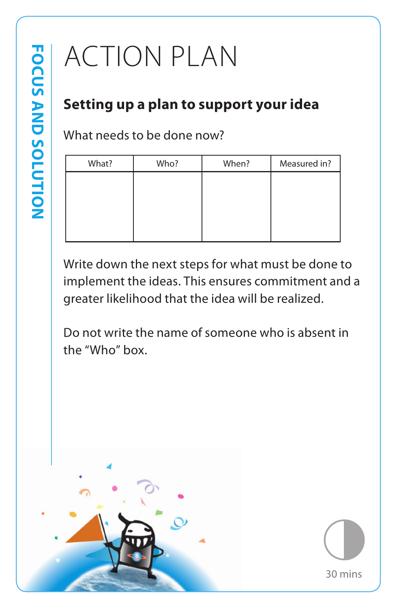## ACTION PLAN

#### **Setting up a plan to support your idea**

What needs to be done now?

| What? | Who? | When? | Measured in? |
|-------|------|-------|--------------|
|       |      |       |              |
|       |      |       |              |
|       |      |       |              |
|       |      |       |              |
|       |      |       |              |

Write down the next steps for what must be done to implement the ideas. This ensures commitment and a greater likelihood that the idea will be realized.

Do not write the name of someone who is absent in the "Who" box.